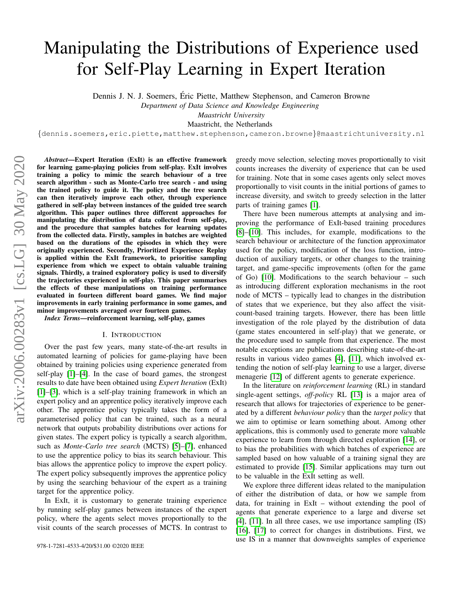# arXiv:2006.00283v1 [cs.LG] 30 May 2020 arXiv:2006.00283v1 [cs.LG] 30 May 2020

# Manipulating the Distributions of Experience used for Self-Play Learning in Expert Iteration

Dennis J. N. J. Soemers, Eric Piette, Matthew Stephenson, and Cameron Browne ´

*Department of Data Science and Knowledge Engineering*

*Maastricht University*

Maastricht, the Netherlands

{dennis.soemers,eric.piette,matthew.stephenson,cameron.browne}@maastrichtuniversity.nl

*Abstract*—Expert Iteration (ExIt) is an effective framework for learning game-playing policies from self-play. ExIt involves training a policy to mimic the search behaviour of a tree search algorithm - such as Monte-Carlo tree search - and using the trained policy to guide it. The policy and the tree search can then iteratively improve each other, through experience gathered in self-play between instances of the guided tree search algorithm. This paper outlines three different approaches for manipulating the distribution of data collected from self-play, and the procedure that samples batches for learning updates from the collected data. Firstly, samples in batches are weighted based on the durations of the episodes in which they were originally experienced. Secondly, Prioritized Experience Replay is applied within the ExIt framework, to prioritise sampling experience from which we expect to obtain valuable training signals. Thirdly, a trained exploratory policy is used to diversify the trajectories experienced in self-play. This paper summarises the effects of these manipulations on training performance evaluated in fourteen different board games. We find major improvements in early training performance in some games, and minor improvements averaged over fourteen games.

*Index Terms*—reinforcement learning, self-play, games

#### I. INTRODUCTION

<span id="page-0-0"></span>Over the past few years, many state-of-the-art results in automated learning of policies for game-playing have been obtained by training policies using experience generated from self-play [\[1\]](#page-7-0)–[\[4\]](#page-7-1). In the case of board games, the strongest results to date have been obtained using *Expert Iteration* (ExIt) [\[1\]](#page-7-0)–[\[3\]](#page-7-2), which is a self-play training framework in which an expert policy and an apprentice policy iteratively improve each other. The apprentice policy typically takes the form of a parameterised policy that can be trained, such as a neural network that outputs probability distributions over actions for given states. The expert policy is typically a search algorithm, such as *Monte-Carlo tree search* (MCTS) [\[5\]](#page-7-3)–[\[7\]](#page-7-4), enhanced to use the apprentice policy to bias its search behaviour. This bias allows the apprentice policy to improve the expert policy. The expert policy subsequently improves the apprentice policy by using the searching behaviour of the expert as a training target for the apprentice policy.

In ExIt, it is customary to generate training experience by running self-play games between instances of the expert policy, where the agents select moves proportionally to the visit counts of the search processes of MCTS. In contrast to greedy move selection, selecting moves proportionally to visit counts increases the diversity of experience that can be used for training. Note that in some cases agents only select moves proportionally to visit counts in the initial portions of games to increase diversity, and switch to greedy selection in the latter parts of training games [\[1\]](#page-7-0).

There have been numerous attempts at analysing and improving the performance of ExIt-based training procedures [\[8\]](#page-7-5)–[\[10\]](#page-7-6). This includes, for example, modifications to the search behaviour or architecture of the function approximator used for the policy, modification of the loss function, introduction of auxiliary targets, or other changes to the training target, and game-specific improvements (often for the game of Go) [\[10\]](#page-7-6). Modifications to the search behaviour – such as introducing different exploration mechanisms in the root node of MCTS – typically lead to changes in the distribution of states that we experience, but they also affect the visitcount-based training targets. However, there has been little investigation of the role played by the distribution of data (game states encountered in self-play) that we generate, or the procedure used to sample from that experience. The most notable exceptions are publications describing state-of-the-art results in various video games [\[4\]](#page-7-1), [\[11\]](#page-7-7), which involved extending the notion of self-play learning to use a larger, diverse menagerie [\[12\]](#page-7-8) of different agents to generate experience.

In the literature on *reinforcement learning* (RL) in standard single-agent settings, *off-policy* RL [\[13\]](#page-7-9) is a major area of research that allows for trajectories of experience to be generated by a different *behaviour policy* than the *target policy* that we aim to optimise or learn something about. Among other applications, this is commonly used to generate more valuable experience to learn from through directed exploration [\[14\]](#page-7-10), or to bias the probabilities with which batches of experience are sampled based on how valuable of a training signal they are estimated to provide [\[15\]](#page-7-11). Similar applications may turn out to be valuable in the ExIt setting as well.

We explore three different ideas related to the manipulation of either the distribution of data, or how we sample from data, for training in ExIt – without extending the pool of agents that generate experience to a large and diverse set [\[4\]](#page-7-1), [\[11\]](#page-7-7). In all three cases, we use importance sampling (IS) [\[16\]](#page-7-12), [\[17\]](#page-7-13) to correct for changes in distributions. First, we use IS in a manner that downweights samples of experience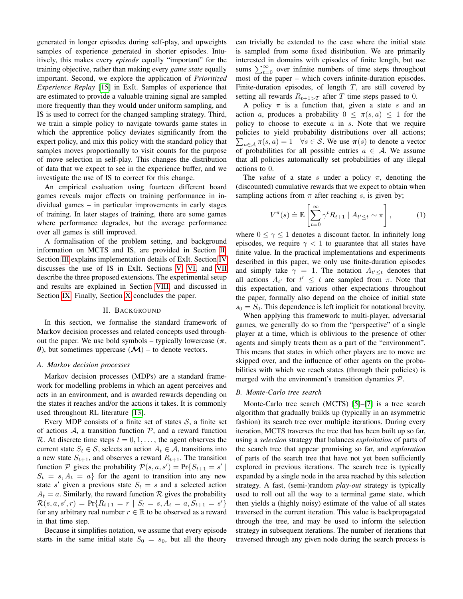generated in longer episodes during self-play, and upweights samples of experience generated in shorter episodes. Intuitively, this makes every *episode* equally "important" for the training objective, rather than making every *game state* equally important. Second, we explore the application of *Prioritized Experience Replay* [\[15\]](#page-7-11) in ExIt. Samples of experience that are estimated to provide a valuable training signal are sampled more frequently than they would under uniform sampling, and IS is used to correct for the changed sampling strategy. Third, we train a simple policy to navigate towards game states in which the apprentice policy deviates significantly from the expert policy, and mix this policy with the standard policy that samples moves proportionally to visit counts for the purpose of move selection in self-play. This changes the distribution of data that we expect to see in the experience buffer, and we investigate the use of IS to correct for this change.

An empirical evaluation using fourteen different board games reveals major effects on training performance in individual games – in particular improvements in early stages of training. In later stages of training, there are some games where performance degrades, but the average performance over all games is still improved.

A formalisation of the problem setting, and background information on MCTS and IS, are provided in Section [II.](#page-1-0) Section [III](#page-2-0) explains implementation details of ExIt. Section [IV](#page-2-1) discusses the use of IS in ExIt. Sections [V,](#page-3-0) [VI,](#page-3-1) and [VII](#page-4-0) describe the three proposed extensions. The experimental setup and results are explained in Section [VIII,](#page-4-1) and discussed in Section [IX.](#page-6-0) Finally, Section [X](#page-6-1) concludes the paper.

# II. BACKGROUND

<span id="page-1-0"></span>In this section, we formalise the standard framework of Markov decision processes and related concepts used throughout the paper. We use bold symbols – typically lowercase  $(\pi,$  $\theta$ ), but sometimes uppercase  $(\mathcal{M})$  – to denote vectors.

#### *A. Markov decision processes*

Markov decision processes (MDPs) are a standard framework for modelling problems in which an agent perceives and acts in an environment, and is awarded rewards depending on the states it reaches and/or the actions it takes. It is commonly used throughout RL literature [\[13\]](#page-7-9).

Every MDP consists of a finite set of states  $S$ , a finite set of actions  $A$ , a transition function  $P$ , and a reward function R. At discrete time steps  $t = 0, 1, \ldots$ , the agent observes the current state  $S_t \in \mathcal{S}$ , selects an action  $A_t \in \mathcal{A}$ , transitions into a new state  $S_{t+1}$ , and observes a reward  $R_{t+1}$ . The transition function P gives the probability  $P(s, a, s') = Pr\{S_{t+1} = s' \mid$  $S_t = s, A_t = a$  for the agent to transition into any new state s' given a previous state  $S_t = s$  and a selected action  $A_t = a$ . Similarly, the reward function R gives the probability  $\mathcal{R}(s, a, s', r) = \Pr\{R_{t+1} = r \mid S_t = s, A_t = a, S_{t+1} = s'\}$ for any arbitrary real number  $r \in \mathbb{R}$  to be observed as a reward in that time step.

Because it simplifies notation, we assume that every episode starts in the same initial state  $S_0 = s_0$ , but all the theory

can trivially be extended to the case where the initial state is sampled from some fixed distribution. We are primarily interested in domains with episodes of finite length, but use sums  $\sum_{t=0}^{\infty}$  over infinite numbers of time steps throughout most of the paper – which covers infinite-duration episodes. Finite-duration episodes, of length  $T$ , are still covered by setting all rewards  $R_{t+1>T}$  after T time steps passed to 0.

A policy  $\pi$  is a function that, given a state s and an action a, produces a probability  $0 \leq \pi(s, a) \leq 1$  for the policy to choose to execute  $a$  in  $s$ . Note that we require policies to yield probability distributions over all actions;  $\sum_{a \in \mathcal{A}} \pi(s, a) = 1 \quad \forall s \in \mathcal{S}$ . We use  $\pi(s)$  to denote a vector of probabilities for all possible entries  $a \in A$ . We assume that all policies automatically set probabilities of any illegal actions to 0.

The *value* of a state s under a policy  $\pi$ , denoting the (discounted) cumulative rewards that we expect to obtain when sampling actions from  $\pi$  after reaching s, is given by;

$$
V^{\pi}(s) \doteq \mathbb{E}\left[\sum_{t=0}^{\infty} \gamma^t R_{t+1} \mid A_{t' \leq t} \sim \pi\right],\tag{1}
$$

where  $0 \le \gamma \le 1$  denotes a discount factor. In infinitely long episodes, we require  $\gamma$  < 1 to guarantee that all states have finite value. In the practical implementations and experiments described in this paper, we only use finite-duration episodes and simply take  $\gamma = 1$ . The notation  $A_{t' \leq t}$  denotes that all actions  $A_{t'}$  for  $t' \leq t$  are sampled from  $\pi$ . Note that this expectation, and various other expectations throughout the paper, formally also depend on the choice of initial state  $s_0 = S_0$ . This dependence is left implicit for notational brevity.

When applying this framework to multi-player, adversarial games, we generally do so from the "perspective" of a single player at a time, which is oblivious to the presence of other agents and simply treats them as a part of the "environment". This means that states in which other players are to move are skipped over, and the influence of other agents on the probabilities with which we reach states (through their policies) is merged with the environment's transition dynamics  $P$ .

#### *B. Monte-Carlo tree search*

Monte-Carlo tree search (MCTS) [\[5\]](#page-7-3)–[\[7\]](#page-7-4) is a tree search algorithm that gradually builds up (typically in an asymmetric fashion) its search tree over multiple iterations. During every iteration, MCTS traverses the tree that has been built up so far, using a *selection* strategy that balances *exploitation* of parts of the search tree that appear promising so far, and *exploration* of parts of the search tree that have not yet been sufficiently explored in previous iterations. The search tree is typically expanded by a single node in the area reached by this selection strategy. A fast, (semi-)random *play-out* strategy is typically used to roll out all the way to a terminal game state, which then yields a (highly noisy) estimate of the value of all states traversed in the current iteration. This value is backpropagated through the tree, and may be used to inform the selection strategy in subsequent iterations. The number of iterations that traversed through any given node during the search process is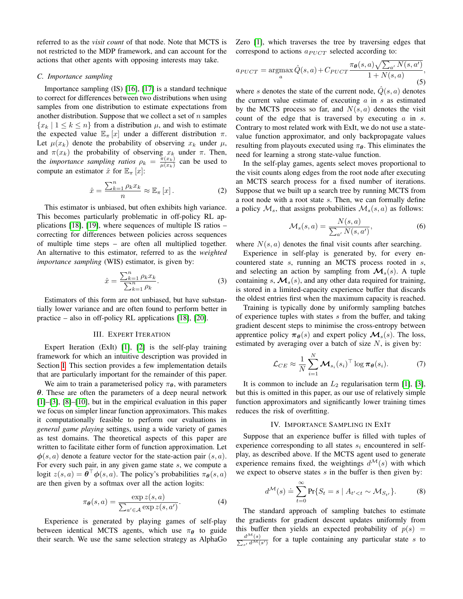referred to as the *visit count* of that node. Note that MCTS is not restricted to the MDP framework, and can account for the actions that other agents with opposing interests may take.

#### <span id="page-2-3"></span>*C. Importance sampling*

Importance sampling (IS) [\[16\]](#page-7-12), [\[17\]](#page-7-13) is a standard technique to correct for differences between two distributions when using samples from one distribution to estimate expectations from another distribution. Suppose that we collect a set of  $n$  samples  ${x_k | 1 \leq k \leq n}$  from a distribution  $\mu$ , and wish to estimate the expected value  $\mathbb{E}_{\pi}[x]$  under a different distribution  $\pi$ . Let  $\mu(x_k)$  denote the probability of observing  $x_k$  under  $\mu$ , and  $\pi(x_k)$  the probability of observing  $x_k$  under  $\pi$ . Then, the *importance sampling ratios*  $\rho_k = \frac{\pi(x_k)}{\mu(x_k)}$  $\frac{\pi(x_k)}{\mu(x_k)}$  can be used to compute an estimator  $\hat{x}$  for  $\mathbb{E}_{\pi}[x]$ :

$$
\hat{x} = \frac{\sum_{k=1}^{n} \rho_k x_k}{n} \approx \mathbb{E}_{\pi} [x]. \tag{2}
$$

This estimator is unbiased, but often exhibits high variance. This becomes particularly problematic in off-policy RL applications [\[18\]](#page-7-14), [\[19\]](#page-7-15), where sequences of multiple IS ratios – correcting for differences between policies across sequences of multiple time steps – are often all multiplied together. An alternative to this estimator, referred to as the *weighted importance sampling* (WIS) estimator, is given by:

<span id="page-2-4"></span>
$$
\hat{x} = \frac{\sum_{k=1}^{n} \rho_k x_k}{\sum_{k=1}^{n} \rho_k}.
$$
\n(3)

Estimators of this form are not unbiased, but have substantially lower variance and are often found to perform better in practice – also in off-policy RL applications [\[18\]](#page-7-14), [\[20\]](#page-7-16).

### III. EXPERT ITERATION

<span id="page-2-0"></span>Expert Iteration (ExIt) [\[1\]](#page-7-0), [\[2\]](#page-7-17) is the self-play training framework for which an intuitive description was provided in Section [I.](#page-0-0) This section provides a few implementation details that are particularly important for the remainder of this paper.

We aim to train a parameterised policy  $\pi_{\theta}$ , with parameters  $\theta$ . These are often the parameters of a deep neural network [\[1\]](#page-7-0)–[\[3\]](#page-7-2), [\[8\]](#page-7-5)–[\[10\]](#page-7-6), but in the empirical evaluation in this paper we focus on simpler linear function approximators. This makes it computationally feasible to perform our evaluations in *general game playing* settings, using a wide variety of games as test domains. The theoretical aspects of this paper are written to facilitate either form of function approximation. Let  $\phi(s, a)$  denote a feature vector for the state-action pair  $(s, a)$ . For every such pair, in any given game state  $s$ , we compute a logit  $z(s, a) = \hat{\theta}^\top \phi(s, a)$ . The policy's probabilities  $\pi_{\theta}(s, a)$ are then given by a softmax over all the action logits:

$$
\pi_{\theta}(s, a) = \frac{\exp z(s, a)}{\sum_{a' \in \mathcal{A}} \exp z(s, a')}.
$$
\n(4)

Experience is generated by playing games of self-play between identical MCTS agents, which use  $\pi_{\theta}$  to guide their search. We use the same selection strategy as AlphaGo

Zero [\[1\]](#page-7-0), which traverses the tree by traversing edges that correspond to actions  $a_{PUCT}$  selected according to:

<span id="page-2-5"></span>
$$
a_{PUCT} = \underset{a}{\operatorname{argmax}} \,\hat{Q}(s,a) + C_{PUCT} \frac{\pi_{\theta}(s,a) \sqrt{\sum_{a'} N(s,a')}}{1 + N(s,a)},\tag{5}
$$

where s denotes the state of the current node,  $\hat{Q}(s, a)$  denotes the current value estimate of executing  $a$  in  $s$  as estimated by the MCTS process so far, and  $N(s, a)$  denotes the visit count of the edge that is traversed by executing  $a$  in  $s$ . Contrary to most related work with ExIt, we do not use a statevalue function approximator, and only backpropagate values resulting from playouts executed using  $\pi_{\theta}$ . This eliminates the need for learning a strong state-value function.

In the self-play games, agents select moves proportional to the visit counts along edges from the root node after executing an MCTS search process for a fixed number of iterations. Suppose that we built up a search tree by running MCTS from a root node with a root state s. Then, we can formally define a policy  $\mathcal{M}_s$ , that assigns probabilities  $\mathcal{M}_s(s, a)$  as follows:

$$
\mathcal{M}_s(s,a) = \frac{N(s,a)}{\sum_{a'} N(s,a')},\tag{6}
$$

where  $N(s, a)$  denotes the final visit counts after searching.

Experience in self-play is generated by, for every encountered state s, running an MCTS process rooted in s, and selecting an action by sampling from  $\mathcal{M}_s(s)$ . A tuple containing s,  $\mathcal{M}_s(s)$ , and any other data required for training, is stored in a limited-capacity experience buffer that discards the oldest entries first when the maximum capacity is reached.

Training is typically done by uniformly sampling batches of experience tuples with states s from the buffer, and taking gradient descent steps to minimise the cross-entropy between apprentice policy  $\pi_{\theta}(s)$  and expert policy  $\mathcal{M}_s(s)$ . The loss, estimated by averaging over a batch of size  $N$ , is given by:

<span id="page-2-2"></span>
$$
\mathcal{L}_{CE} \approx \frac{1}{N} \sum_{i=1}^{N} \mathcal{M}_{s_i}(s_i)^{\top} \log \pi_{\theta}(s_i).
$$
 (7)

It is common to include an  $L_2$  regularisation term [\[1\]](#page-7-0), [\[3\]](#page-7-2), but this is omitted in this paper, as our use of relatively simple function approximators and significantly lower training times reduces the risk of overfitting.

# IV. IMPORTANCE SAMPLING IN EXIT

<span id="page-2-1"></span>Suppose that an experience buffer is filled with tuples of experience corresponding to all states  $s_i$  encountered in selfplay, as described above. If the MCTS agent used to generate experience remains fixed, the weightings  $d^{\mathcal{M}}(s)$  with which we expect to observe states  $s$  in the buffer is then given by:

$$
d^{\mathcal{M}}(s) \doteq \sum_{t=0}^{\infty} \Pr\{S_t = s \mid A_{t' < t} \sim \mathcal{M}_{S_{t'}}\}.
$$
 (8)

The standard approach of sampling batches to estimate the gradients for gradient descent updates uniformly from this buffer then yields an expected probability of  $p(s)$  =  $\frac{d^{\mathcal{M}}(s)}{\sum_{s'} d^{\mathcal{M}}(s)}$  $\frac{d^{N}(s)}{s^{l} d^{M}(s^{l})}$  for a tuple containing any particular state s to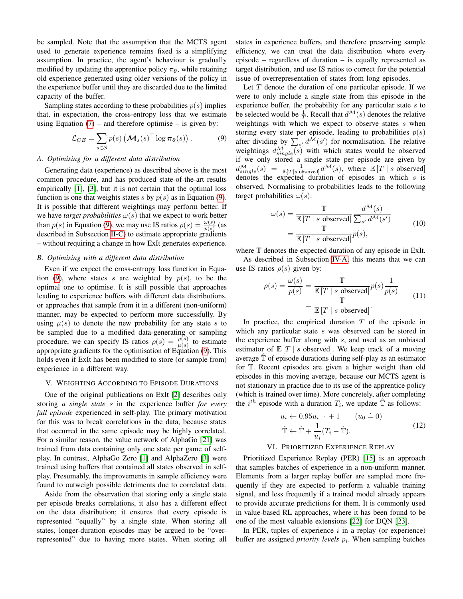be sampled. Note that the assumption that the MCTS agent used to generate experience remains fixed is a simplifying assumption. In practice, the agent's behaviour is gradually modified by updating the apprentice policy  $\pi_{\theta}$ , while retaining old experience generated using older versions of the policy in the experience buffer until they are discarded due to the limited capacity of the buffer.

Sampling states according to these probabilities  $p(s)$  implies that, in expectation, the cross-entropy loss that we estimate using Equation  $(7)$  – and therefore optimise – is given by:

<span id="page-3-2"></span>
$$
\mathcal{L}_{CE} = \sum_{s \in \mathcal{S}} p(s) \left( \mathcal{M}_s(s)^\top \log \pi_{\theta}(s) \right). \tag{9}
$$

# <span id="page-3-3"></span>*A. Optimising for a different data distribution*

Generating data (experience) as described above is the most common procedure, and has produced state-of-the-art results empirically [\[1\]](#page-7-0), [\[3\]](#page-7-2), but it is not certain that the optimal loss function is one that weights states s by  $p(s)$  as in Equation [\(9\)](#page-3-2). It is possible that different weightings may perform better. If we have *target probabilities*  $\omega(s)$  that we expect to work better than  $p(s)$  in Equation [\(9\)](#page-3-2), we may use IS ratios  $\rho(s) = \frac{\omega(s)}{p(s)}$  (as described in Subsection [II-C\)](#page-2-3) to estimate appropriate gradients – without requiring a change in how ExIt generates experience.

# <span id="page-3-4"></span>*B. Optimising with a different data distribution*

Even if we expect the cross-entropy loss function in Equa-tion [\(9\)](#page-3-2), where states s are weighted by  $p(s)$ , to be the optimal one to optimise. It is still possible that approaches leading to experience buffers with different data distributions, or approaches that sample from it in a different (non-uniform) manner, may be expected to perform more successfully. By using  $\mu(s)$  to denote the new probability for any state s to be sampled due to a modified data-generating or sampling procedure, we can specify IS ratios  $\rho(s) = \frac{p(s)}{\mu(s)}$  to estimate appropriate gradients for the optimisation of Equation [\(9\)](#page-3-2). This holds even if ExIt has been modified to store (or sample from) experience in a different way.

# <span id="page-3-0"></span>V. WEIGHTING ACCORDING TO EPISODE DURATIONS

One of the original publications on ExIt [\[2\]](#page-7-17) describes only storing *a single state* s in the experience buffer *for every full episode* experienced in self-play. The primary motivation for this was to break correlations in the data, because states that occurred in the same episode may be highly correlated. For a similar reason, the value network of AlphaGo [\[21\]](#page-7-18) was trained from data containing only one state per game of selfplay. In contrast, AlphaGo Zero [\[1\]](#page-7-0) and AlphaZero [\[3\]](#page-7-2) were trained using buffers that contained all states observed in selfplay. Presumably, the improvements in sample efficiency were found to outweigh possible detriments due to correlated data.

Aside from the observation that storing only a single state per episode breaks correlations, it also has a different effect on the data distribution; it ensures that every episode is represented "equally" by a single state. When storing all states, longer-duration episodes may be argued to be "overrepresented" due to having more states. When storing all states in experience buffers, and therefore preserving sample efficiency, we can treat the data distribution where every episode – regardless of duration – is equally represented as target distribution, and use IS ratios to correct for the potential issue of overrepresentation of states from long episodes.

Let  $T$  denote the duration of one particular episode. If we were to only include a single state from this episode in the experience buffer, the probability for any particular state s to be selected would be  $\frac{1}{T}$ . Recall that  $d^{\mathcal{M}}(s)$  denotes the relative weightings with which we expect to observe states  $s$  when storing every state per episode, leading to probabilities  $p(s)$ after dividing by  $\sum_{s'} d^{\mathcal{M}}(s')$  for normalisation. The relative weightings  $d_{single}^{\mathcal{M}}(s)$  with which states would be observed if we only stored a single state per episode are given by  $d_{single}^{\mathcal{M}}(s) = \frac{1}{\mathbb{E}[T|s \text{ observed}]} d^{\mathcal{M}}(s)$ , where  $\mathbb{E}[T \mid s \text{ observed}]$ denotes the expected duration of episodes in which  $s$  is observed. Normalising to probabilities leads to the following target probabilities  $\omega(s)$ :

$$
\omega(s) = \frac{\mathbb{T}}{\mathbb{E}[T \mid s \text{ observed}]} \frac{d^{\mathcal{M}}(s)}{\sum_{s'} d^{\mathcal{M}}(s')}
$$

$$
= \frac{\mathbb{T}}{\mathbb{E}[T \mid s \text{ observed}]} p(s), \qquad (10)
$$

where  $T$  denotes the expected duration of any episode in ExIt. As described in Subsection [IV-A,](#page-3-3) this means that we can

use IS ratios  $\rho(s)$  given by:

$$
\rho(s) = \frac{\omega(s)}{p(s)} = \frac{\mathbb{T}}{\mathbb{E}[T \mid s \text{ observed}]} p(s) \frac{1}{p(s)}
$$

$$
= \frac{\mathbb{T}}{\mathbb{E}[T \mid s \text{ observed}]}.
$$
(11)

In practice, the empirical duration  $T$  of the episode in which any particular state s was observed can be stored in the experience buffer along with s, and used as an unbiased estimator of  $E[T \mid s$  observed. We keep track of a moving average Tˆ of episode durations during self-play as an estimator for T. Recent episodes are given a higher weight than old episodes in this moving average, because our MCTS agent is not stationary in practice due to its use of the apprentice policy (which is trained over time). More concretely, after completing the  $i^{th}$  episode with a duration  $T_i$ , we update  $\hat{T}$  as follows:

$$
u_i \leftarrow 0.95u_{i-1} + 1 \qquad (u_0 \doteq 0)
$$
  

$$
\hat{\mathbb{T}} \leftarrow \hat{\mathbb{T}} + \frac{1}{u_i}(T_i - \hat{\mathbb{T}}).
$$
 (12)

#### VI. PRIORITIZED EXPERIENCE REPLAY

<span id="page-3-1"></span>Prioritized Experience Replay (PER) [\[15\]](#page-7-11) is an approach that samples batches of experience in a non-uniform manner. Elements from a larger replay buffer are sampled more frequently if they are expected to perform a valuable training signal, and less frequently if a trained model already appears to provide accurate predictions for them. It is commonly used in value-based RL approaches, where it has been found to be one of the most valuable extensions [\[22\]](#page-7-19) for DQN [\[23\]](#page-7-20).

In PER, tuples of experience  $i$  in a replay (or experience) buffer are assigned *priority levels*  $p_i$ . When sampling batches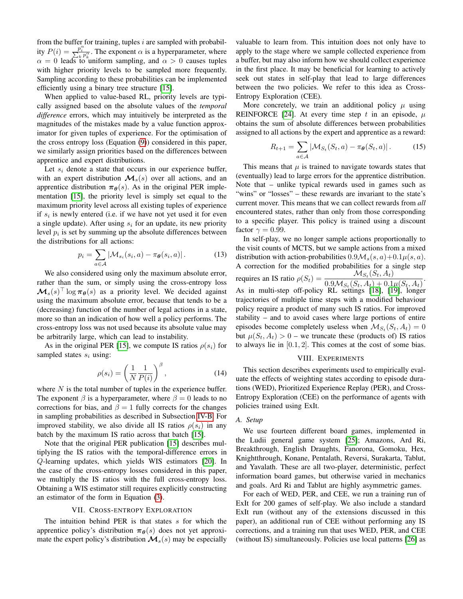from the buffer for training, tuples  $i$  are sampled with probability  $P(i) = \frac{p_i^{\alpha}}{\sum_k p_k^{\alpha}}$ . The exponent  $\alpha$  is a hyperparameter, where  $\alpha = 0$  leads to uniform sampling, and  $\alpha > 0$  causes tuples with higher priority levels to be sampled more frequently. Sampling according to these probabilities can be implemented efficiently using a binary tree structure [\[15\]](#page-7-11).

When applied to value-based RL, priority levels are typically assigned based on the absolute values of the *temporal difference* errors, which may intuitively be interpreted as the magnitudes of the mistakes made by a value function approximator for given tuples of experience. For the optimisation of the cross entropy loss (Equation [\(9\)](#page-3-2)) considered in this paper, we similarly assign priorities based on the differences between apprentice and expert distributions.

Let  $s_i$  denote a state that occurs in our experience buffer, with an expert distribution  $\mathcal{M}_s(s)$  over all actions, and an apprentice distribution  $\pi_{\theta}(s)$ . As in the original PER implementation [\[15\]](#page-7-11), the priority level is simply set equal to the maximum priority level across all existing tuples of experience if  $s_i$  is newly entered (i.e. if we have not yet used it for even a single update). After using  $s_i$  for an update, its new priority level  $p_i$  is set by summing up the absolute differences between the distributions for all actions:

$$
p_i = \sum_{a \in \mathcal{A}} |\mathcal{M}_{s_i}(s_i, a) - \pi_{\theta}(s_i, a)|. \tag{13}
$$

We also considered using only the maximum absolute error, rather than the sum, or simply using the cross-entropy loss  $\mathcal{M}_s(s)^\top \log \pi_\theta(s)$  as a priority level. We decided against using the maximum absolute error, because that tends to be a (decreasing) function of the number of legal actions in a state, more so than an indication of how well a policy performs. The cross-entropy loss was not used because its absolute value may be arbitrarily large, which can lead to instability.

As in the original PER [\[15\]](#page-7-11), we compute IS ratios  $\rho(s_i)$  for sampled states  $s_i$  using:

$$
\rho(s_i) = \left(\frac{1}{N} \frac{1}{P(i)}\right)^{\beta},\tag{14}
$$

where  $N$  is the total number of tuples in the experience buffer. The exponent  $\beta$  is a hyperparameter, where  $\beta = 0$  leads to no corrections for bias, and  $\beta = 1$  fully corrects for the changes in sampling probabilities as described in Subsection [IV-B.](#page-3-4) For improved stability, we also divide all IS ratios  $\rho(s_i)$  in any batch by the maximum IS ratio across that batch [\[15\]](#page-7-11).

Note that the original PER publication [\[15\]](#page-7-11) describes multiplying the IS ratios with the temporal-difference errors in Q-learning updates, which yields WIS estimators [\[20\]](#page-7-16). In the case of the cross-entropy losses considered in this paper, we multiply the IS ratios with the full cross-entropy loss. Obtaining a WIS estimator still requires explicitly constructing an estimator of the form in Equation [\(3\)](#page-2-4).

#### VII. CROSS-ENTROPY EXPLORATION

<span id="page-4-0"></span>The intuition behind PER is that states  $s$  for which the apprentice policy's distribution  $\pi_{\theta}(s)$  does not yet approximate the expert policy's distribution  $\mathcal{M}_s(s)$  may be especially

valuable to learn from. This intuition does not only have to apply to the stage where we sample collected experience from a buffer, but may also inform how we should collect experience in the first place. It may be beneficial for learning to actively seek out states in self-play that lead to large differences between the two policies. We refer to this idea as Cross-Entropy Exploration (CEE).

More concretely, we train an additional policy  $\mu$  using REINFORCE [\[24\]](#page-7-21). At every time step t in an episode,  $\mu$ obtains the sum of absolute differences between probabilities assigned to all actions by the expert and apprentice as a reward:

$$
R_{t+1} = \sum_{a \in \mathcal{A}} |\mathcal{M}_{S_t}(S_t, a) - \pi_{\theta}(S_t, a)|. \tag{15}
$$

This means that  $\mu$  is trained to navigate towards states that (eventually) lead to large errors for the apprentice distribution. Note that – unlike typical rewards used in games such as "wins" or "losses" – these rewards are invariant to the state's current mover. This means that we can collect rewards from *all* encountered states, rather than only from those corresponding to a specific player. This policy is trained using a discount factor  $\gamma = 0.99$ .

In self-play, we no longer sample actions proportionally to the visit counts of MCTS, but we sample actions from a mixed distribution with action-probabilities  $0.9\mathcal{M}_s(s,a)+0.1\mu(s,a)$ . A correction for the modified probabilities for a single step requires an IS ratio  $\rho(S_t) = \frac{\mathcal{M}_{S_t}(S_t, A_t)}{0.9\mathcal{M}_{S_t}(S_t, A_t) + 0.1\mu(S_t, A_t)}$ .  $\mathcal{M}_{S_t}(S_t, A_t)$ As in multi-step off-policy RL settings [\[18\]](#page-7-14), [\[19\]](#page-7-15), longer trajectories of multiple time steps with a modified behaviour policy require a product of many such IS ratios. For improved stability – and to avoid cases where large portions of entire episodes become completely useless when  $\mathcal{M}_{S_t}(S_t, A_t) = 0$ but  $\mu(S_t, A_t) > 0$  – we truncate these (products of) IS ratios to always lie in [0.1, 2]. This comes at the cost of some bias.

### VIII. EXPERIMENTS

<span id="page-4-1"></span>This section describes experiments used to empirically evaluate the effects of weighting states according to episode durations (WED), Prioritized Experience Replay (PER), and Cross-Entropy Exploration (CEE) on the performance of agents with policies trained using ExIt.

# *A. Setup*

We use fourteen different board games, implemented in the Ludii general game system [\[25\]](#page-7-22); Amazons, Ard Ri, Breakthrough, English Draughts, Fanorona, Gomoku, Hex, Knightthrough, Konane, Pentalath, Reversi, Surakarta, Tablut, and Yavalath. These are all two-player, deterministic, perfect information board games, but otherwise varied in mechanics and goals. Ard Ri and Tablut are highly asymmetric games.

For each of WED, PER, and CEE, we run a training run of ExIt for 200 games of self-play. We also include a standard ExIt run (without any of the extensions discussed in this paper), an additional run of CEE without performing any IS corrections, and a training run that uses WED, PER, and CEE (without IS) simultaneously. Policies use local patterns [\[26\]](#page-7-23) as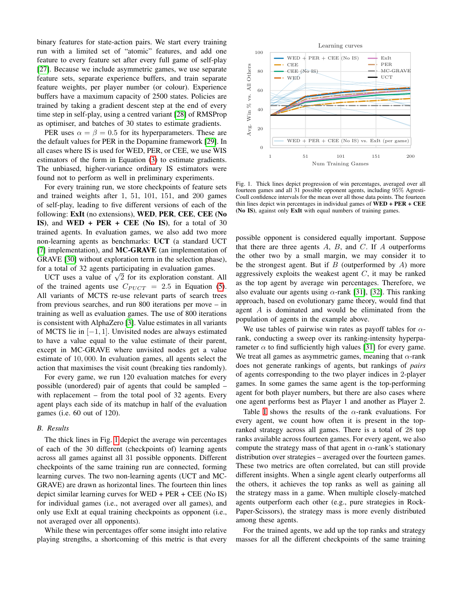binary features for state-action pairs. We start every training run with a limited set of "atomic" features, and add one feature to every feature set after every full game of self-play [\[27\]](#page-7-24). Because we include asymmetric games, we use separate feature sets, separate experience buffers, and train separate feature weights, per player number (or colour). Experience buffers have a maximum capacity of 2500 states. Policies are trained by taking a gradient descent step at the end of every time step in self-play, using a centred variant [\[28\]](#page-7-25) of RMSProp as optimiser, and batches of 30 states to estimate gradients.

PER uses  $\alpha = \beta = 0.5$  for its hyperparameters. These are the default values for PER in the Dopamine framework [\[29\]](#page-7-26). In all cases where IS is used for WED, PER, or CEE, we use WIS estimators of the form in Equation [\(3\)](#page-2-4) to estimate gradients. The unbiased, higher-variance ordinary IS estimators were found not to perform as well in preliminary experiments.

For every training run, we store checkpoints of feature sets and trained weights after 1, 51, 101, 151, and 200 games of self-play, leading to five different versions of each of the following: ExIt (no extensions), WED, PER, CEE, CEE (No IS), and WED + PER + CEE (No IS), for a total of 30 trained agents. In evaluation games, we also add two more non-learning agents as benchmarks: UCT (a standard UCT [\[7\]](#page-7-4) implementation), and MC-GRAVE (an implementation of GRAVE [\[30\]](#page-7-27) without exploration term in the selection phase), for a total of 32 agents participating in evaluation games.

The total of 32 agents participating in evaluation games.<br>UCT uses a value of  $\sqrt{2}$  for its exploration constant. All of the trained agents use  $C_{PUCT} = 2.5$  in Equation [\(5\)](#page-2-5). All variants of MCTS re-use relevant parts of search trees from previous searches, and run 800 iterations per move – in training as well as evaluation games. The use of 800 iterations is consistent with AlphaZero [\[3\]](#page-7-2). Value estimates in all variants of MCTS lie in [−1, 1]. Unvisited nodes are always estimated to have a value equal to the value estimate of their parent, except in MC-GRAVE where unvisited nodes get a value estimate of 10, 000. In evaluation games, all agents select the action that maximises the visit count (breaking ties randomly).

For every game, we run 120 evaluation matches for every possible (unordered) pair of agents that could be sampled – with replacement – from the total pool of 32 agents. Every agent plays each side of its matchup in half of the evaluation games (i.e. 60 out of 120).

# *B. Results*

The thick lines in Fig. [1](#page-5-0) depict the average win percentages of each of the 30 different (checkpoints of) learning agents across all games against all 31 possible opponents. Different checkpoints of the same training run are connected, forming learning curves. The two non-learning agents (UCT and MC-GRAVE) are drawn as horizontal lines. The fourteen thin lines depict similar learning curves for  $WED + PER + CEE$  (No IS) for individual games (i.e., not averaged over all games), and only use ExIt at equal training checkpoints as opponent (i.e., not averaged over all opponents).

While these win percentages offer some insight into relative playing strengths, a shortcoming of this metric is that every



<span id="page-5-0"></span>Fig. 1. Thick lines depict progression of win percentages, averaged over all fourteen games and all 31 possible opponent agents, including 95% Agresti-Coull confidence intervals for the mean over all those data points. The fourteen thin lines depict win percentages in individual games of  $\hat{WED}$  + PER + CEE (No IS), against only ExIt with equal numbers of training games.

possible opponent is considered equally important. Suppose that there are three agents  $A$ ,  $B$ , and  $C$ . If  $A$  outperforms the other two by a small margin, we may consider it to be the strongest agent. But if  $B$  (outperformed by  $A$ ) more aggressively exploits the weakest agent  $C$ , it may be ranked as the top agent by average win percentages. Therefore, we also evaluate our agents using  $\alpha$ -rank [\[31\]](#page-7-28), [\[32\]](#page-7-29). This ranking approach, based on evolutionary game theory, would find that agent A is dominated and would be eliminated from the population of agents in the example above.

We use tables of pairwise win rates as payoff tables for  $\alpha$ rank, conducting a sweep over its ranking-intensity hyperparameter  $\alpha$  to find sufficiently high values [\[31\]](#page-7-28) for every game. We treat all games as asymmetric games, meaning that  $\alpha$ -rank does not generate rankings of agents, but rankings of *pairs* of agents corresponding to the two player indices in 2-player games. In some games the same agent is the top-performing agent for both player numbers, but there are also cases where one agent performs best as Player 1 and another as Player 2.

Table [I](#page-6-2) shows the results of the  $\alpha$ -rank evaluations. For every agent, we count how often it is present in the topranked strategy across all games. There is a total of 28 top ranks available across fourteen games. For every agent, we also compute the strategy mass of that agent in  $\alpha$ -rank's stationary distribution over strategies – averaged over the fourteen games. These two metrics are often correlated, but can still provide different insights. When a single agent clearly outperforms all the others, it achieves the top ranks as well as gaining all the strategy mass in a game. When multiple closely-matched agents outperform each other (e.g., pure strategies in Rock-Paper-Scissors), the strategy mass is more evenly distributed among these agents.

For the trained agents, we add up the top ranks and strategy masses for all the different checkpoints of the same training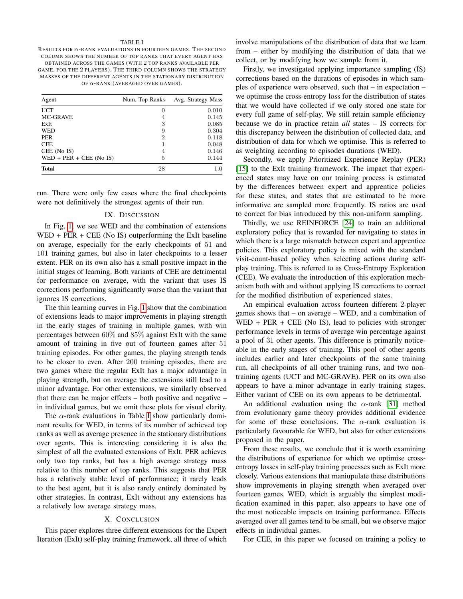#### TABLE I

<span id="page-6-2"></span>RESULTS FOR  $\alpha$ -RANK EVALUATIONS IN FOURTEEN GAMES. THE SECOND COLUMN SHOWS THE NUMBER OF TOP RANKS THAT EVERY AGENT HAS OBTAINED ACROSS THE GAMES (WITH 2 TOP RANKS AVAILABLE PER GAME, FOR THE 2 PLAYERS). THE THIRD COLUMN SHOWS THE STRATEGY MASSES OF THE DIFFERENT AGENTS IN THE STATIONARY DISTRIBUTION OF  $\alpha$ -RANK (AVERAGED OVER GAMES).

| Agent                     | Num. Top Ranks | Avg. Strategy Mass |
|---------------------------|----------------|--------------------|
| <b>UCT</b>                | 0              | 0.010              |
| <b>MC-GRAVE</b>           | 4              | 0.145              |
| ExIt                      | 3              | 0.085              |
| <b>WED</b>                | 9              | 0.304              |
| <b>PER</b>                | $\overline{2}$ | 0.118              |
| <b>CEE</b>                |                | 0.048              |
| CEE (No IS)               | 4              | 0.146              |
| $WED + PER + CEE (No IS)$ | 5              | 0.144              |
| <b>Total</b>              | 28             | $1.0\,$            |

run. There were only few cases where the final checkpoints were not definitively the strongest agents of their run.

# IX. DISCUSSION

<span id="page-6-0"></span>In Fig. [1,](#page-5-0) we see WED and the combination of extensions  $WED + PER + CEE$  (No IS) outperforming the ExIt baseline on average, especially for the early checkpoints of 51 and 101 training games, but also in later checkpoints to a lesser extent. PER on its own also has a small positive impact in the initial stages of learning. Both variants of CEE are detrimental for performance on average, with the variant that uses IS corrections performing significantly worse than the variant that ignores IS corrections.

The thin learning curves in Fig. [1](#page-5-0) show that the combination of extensions leads to major improvements in playing strength in the early stages of training in multiple games, with win percentages between 60% and 85% against ExIt with the same amount of training in five out of fourteen games after 51 training episodes. For other games, the playing strength tends to be closer to even. After 200 training episodes, there are two games where the regular ExIt has a major advantage in playing strength, but on average the extensions still lead to a minor advantage. For other extensions, we similarly observed that there can be major effects – both positive and negative – in individual games, but we omit these plots for visual clarity.

The  $\alpha$ -rank evaluations in Table [I](#page-6-2) show particularly dominant results for WED, in terms of its number of achieved top ranks as well as average presence in the stationary distributions over agents. This is interesting considering it is also the simplest of all the evaluated extensions of ExIt. PER achieves only two top ranks, but has a high average strategy mass relative to this number of top ranks. This suggests that PER has a relatively stable level of performance; it rarely leads to the best agent, but it is also rarely entirely dominated by other strategies. In contrast, ExIt without any extensions has a relatively low average strategy mass.

# X. CONCLUSION

<span id="page-6-1"></span>This paper explores three different extensions for the Expert Iteration (ExIt) self-play training framework, all three of which involve manipulations of the distribution of data that we learn from – either by modifying the distribution of data that we collect, or by modifying how we sample from it.

Firstly, we investigated applying importance sampling (IS) corrections based on the durations of episodes in which samples of experience were observed, such that – in expectation – we optimise the cross-entropy loss for the distribution of states that we would have collected if we only stored one state for every full game of self-play. We still retain sample efficiency because we do in practice retain *all* states – IS corrects for this discrepancy between the distribution of collected data, and distribution of data for which we optimise. This is referred to as weighting according to episodes durations (WED).

Secondly, we apply Prioritized Experience Replay (PER) [\[15\]](#page-7-11) to the ExIt training framework. The impact that experienced states may have on our training process is estimated by the differences between expert and apprentice policies for these states, and states that are estimated to be more informative are sampled more frequently. IS ratios are used to correct for bias introduced by this non-uniform sampling.

Thirdly, we use REINFORCE [\[24\]](#page-7-21) to train an additional exploratory policy that is rewarded for navigating to states in which there is a large mismatch between expert and apprentice policies. This exploratory policy is mixed with the standard visit-count-based policy when selecting actions during selfplay training. This is referred to as Cross-Entropy Exploration (CEE). We evaluate the introduction of this exploration mechanism both with and without applying IS corrections to correct for the modified distribution of experienced states.

An empirical evaluation across fourteen different 2-player games shows that – on average – WED, and a combination of  $WED + PER + CEE$  (No IS), lead to policies with stronger performance levels in terms of average win percentage against a pool of 31 other agents. This difference is primarily noticeable in the early stages of training. This pool of other agents includes earlier and later checkpoints of the same training run, all checkpoints of all other training runs, and two nontraining agents (UCT and MC-GRAVE). PER on its own also appears to have a minor advantage in early training stages. Either variant of CEE on its own appears to be detrimental.

An additional evaluation using the  $\alpha$ -rank [\[31\]](#page-7-28) method from evolutionary game theory provides additional evidence for some of these conclusions. The  $\alpha$ -rank evaluation is particularly favourable for WED, but also for other extensions proposed in the paper.

From these results, we conclude that it is worth examining the distributions of experience for which we optimise crossentropy losses in self-play training processes such as ExIt more closely. Various extensions that maniupulate these distributions show improvements in playing strength when averaged over fourteen games. WED, which is arguably the simplest modification examined in this paper, also appears to have one of the most noticeable impacts on training performance. Effects averaged over all games tend to be small, but we observe major effects in individual games.

For CEE, in this paper we focused on training a policy to